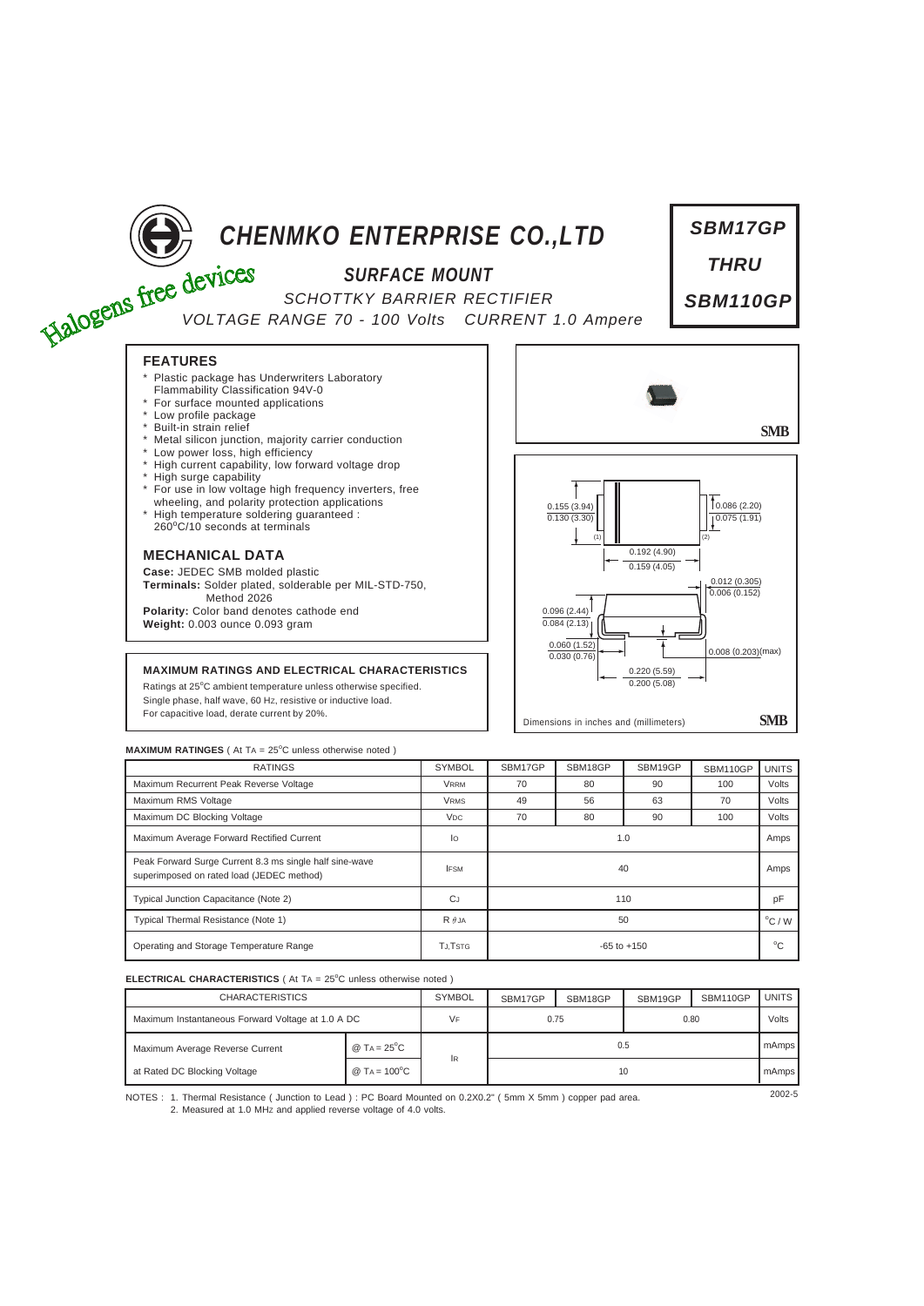

*SBM17GP*

Dimensions in inches and (millimeters) **SMB**

 $0.200(5.08)$ 

## **MAXIMUM RATINGS AND ELECTRICAL CHARACTERISTICS**

Ratings at 25°C ambient temperature unless otherwise specified. Single phase, half wave, 60 HZ, resistive or inductive load. For capacitive load, derate current by 20%.



| <b>RATINGS</b>                                                                                       | <b>SYMBOL</b>         | SBM17GP         | SBM18GP | SBM19GP | SBM110GP | <b>UNITS</b> |
|------------------------------------------------------------------------------------------------------|-----------------------|-----------------|---------|---------|----------|--------------|
| Maximum Recurrent Peak Reverse Voltage                                                               | <b>VRRM</b>           | 70              | 80      | 90      | 100      | Volts        |
| Maximum RMS Voltage                                                                                  | <b>VRMS</b>           | 49              | 56      | 63      | 70       | Volts        |
| Maximum DC Blocking Voltage                                                                          | <b>V<sub>DC</sub></b> | 70              | 80      | 90      | 100      | Volts        |
| Maximum Average Forward Rectified Current                                                            | lo                    | 1.0             |         |         |          |              |
| Peak Forward Surge Current 8.3 ms single half sine-wave<br>superimposed on rated load (JEDEC method) | <b>IFSM</b>           | 40              |         |         |          |              |
| Typical Junction Capacitance (Note 2)                                                                | <b>CJ</b>             | 110             |         |         |          |              |
| Typical Thermal Resistance (Note 1)                                                                  | $R \theta$ JA         | 50              |         |         |          |              |
| Operating and Storage Temperature Range                                                              | TJ.TSTG               | $-65$ to $+150$ |         |         |          |              |

## **ELECTRICAL CHARACTERISTICS** ( At TA = 25°C unless otherwise noted )

| <b>CHARACTERISTICS</b>                            |                                    | <b>SYMBOL</b> | SBM17GP | SBM18GP | SBM19GP | SBM110GP | <b>UNITS</b> |
|---------------------------------------------------|------------------------------------|---------------|---------|---------|---------|----------|--------------|
| Maximum Instantaneous Forward Voltage at 1.0 A DC |                                    | VF            | 0.75    |         | 0.80    |          | Volts        |
| Maximum Average Reverse Current                   | @ TA = $25^{\circ}$ C              |               | 0.5     |         |         |          | mAmps        |
| at Rated DC Blocking Voltage                      | @ T <sub>A</sub> = $100^{\circ}$ C | <b>IR</b>     | 10      |         |         |          |              |

NOTES : 2002-5 1. Thermal Resistance ( Junction to Lead ) : PC Board Mounted on 0.2X0.2" ( 5mm X 5mm ) copper pad area. 2. Measured at 1.0 MHz and applied reverse voltage of 4.0 volts.